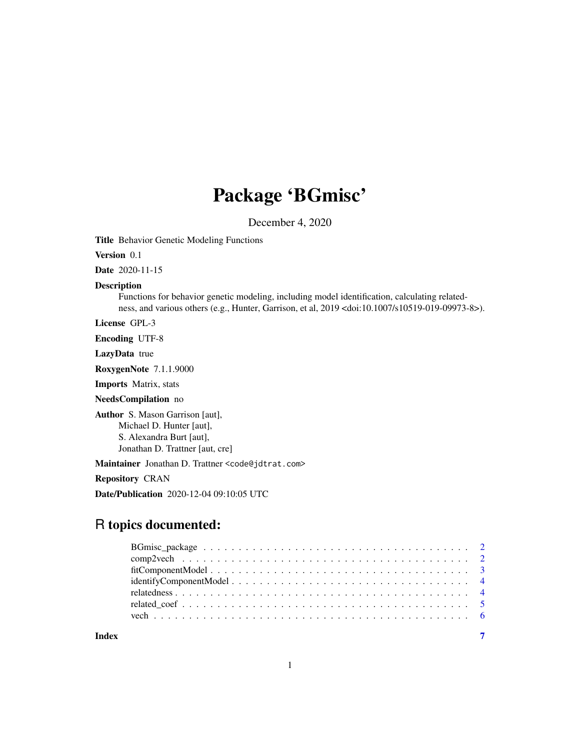# Package 'BGmisc'

December 4, 2020

Title Behavior Genetic Modeling Functions

Version 0.1

Date 2020-11-15

#### Description

Functions for behavior genetic modeling, including model identification, calculating relatedness, and various others (e.g., Hunter, Garrison, et al, 2019 <doi:10.1007/s10519-019-09973-8>).

License GPL-3

Encoding UTF-8

LazyData true

RoxygenNote 7.1.1.9000

Imports Matrix, stats

#### NeedsCompilation no

Author S. Mason Garrison [aut], Michael D. Hunter [aut], S. Alexandra Burt [aut], Jonathan D. Trattner [aut, cre]

Maintainer Jonathan D. Trattner <code@jdtrat.com>

Repository CRAN

Date/Publication 2020-12-04 09:10:05 UTC

# R topics documented:

**Index** [7](#page-6-0) **7**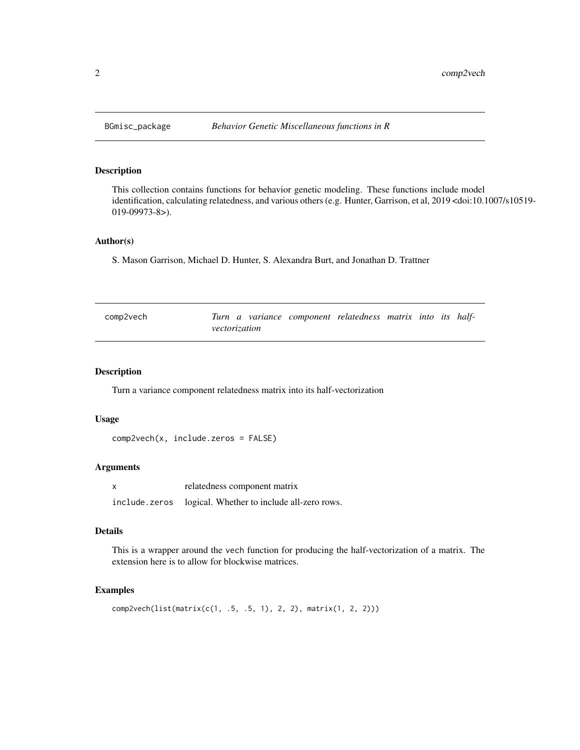# Description

This collection contains functions for behavior genetic modeling. These functions include model identification, calculating relatedness, and various others (e.g. Hunter, Garrison, et al, 2019 <doi:10.1007/s10519- 019-09973-8>).

#### Author(s)

S. Mason Garrison, Michael D. Hunter, S. Alexandra Burt, and Jonathan D. Trattner

| comp2vech |               |  | Turn a variance component relatedness matrix into its half- |  |  |
|-----------|---------------|--|-------------------------------------------------------------|--|--|
|           | vectorization |  |                                                             |  |  |

#### Description

Turn a variance component relatedness matrix into its half-vectorization

#### Usage

```
comp2vech(x, include.zeros = FALSE)
```
#### Arguments

| $\boldsymbol{\mathsf{x}}$ | relatedness component matrix               |
|---------------------------|--------------------------------------------|
| include.zeros             | logical. Whether to include all-zero rows. |

# Details

This is a wrapper around the vech function for producing the half-vectorization of a matrix. The extension here is to allow for blockwise matrices.

#### Examples

```
comp2vech(list(matrix(c(1, .5, .5, 1), 2, 2), matrix(1, 2, 2)))
```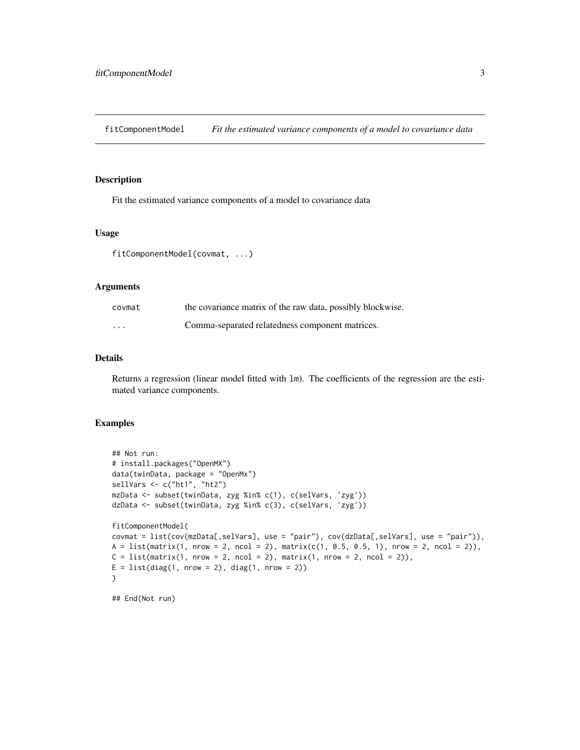<span id="page-2-0"></span>fitComponentModel *Fit the estimated variance components of a model to covariance data*

#### Description

Fit the estimated variance components of a model to covariance data

#### Usage

fitComponentModel(covmat, ...)

#### Arguments

| covmat   | the covariance matrix of the raw data, possibly blockwise. |
|----------|------------------------------------------------------------|
| $\cdots$ | Comma-separated relatedness component matrices.            |

#### Details

Returns a regression (linear model fitted with lm). The coefficients of the regression are the estimated variance components.

# Examples

```
## Not run:
# install.packages("OpenMX")
data(twinData, package = "OpenMx")
sellVars <- c("ht1", "ht2")
mzData <- subset(twinData, zyg %in% c(1), c(selVars, 'zyg'))
dzData <- subset(twinData, zyg %in% c(3), c(selVars, 'zyg'))
fitComponentModel(
covmat = list(cov(mzData[,selVars], use = "pair"), cov(dzData[,selVars], use = "pair")),
A = list(maxrix(1, nrow = 2, ncol = 2), matrix(c(1, 0.5, 0.5, 1), nrow = 2, ncol = 2)),C = list(matrix(1, nrow = 2, ncol = 2), matrix(1, nrow = 2, ncol = 2)),E = list(diag(1, nrow = 2), diag(1, nrow = 2)))
```
## End(Not run)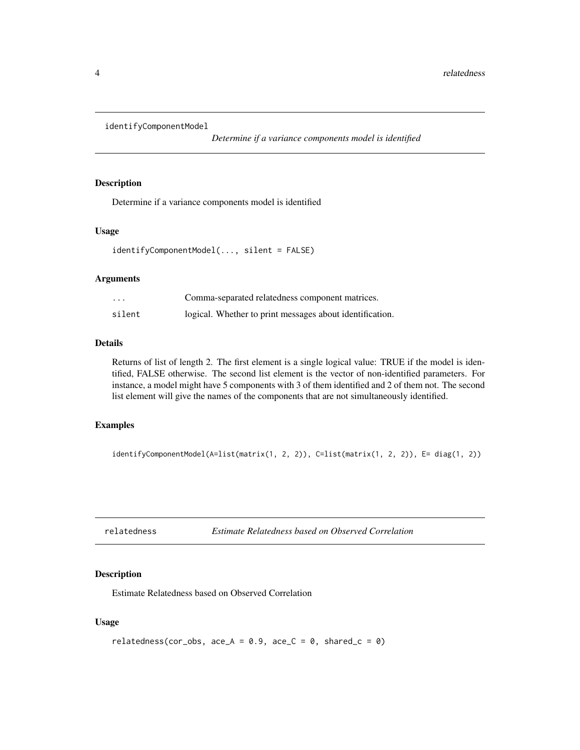```
identifyComponentModel
```
*Determine if a variance components model is identified*

#### Description

Determine if a variance components model is identified

#### Usage

```
identifyComponentModel(..., silent = FALSE)
```
#### Arguments

| $\cdots$ | Comma-separated relatedness component matrices.          |
|----------|----------------------------------------------------------|
| silent   | logical. Whether to print messages about identification. |

# Details

Returns of list of length 2. The first element is a single logical value: TRUE if the model is identified, FALSE otherwise. The second list element is the vector of non-identified parameters. For instance, a model might have 5 components with 3 of them identified and 2 of them not. The second list element will give the names of the components that are not simultaneously identified.

#### Examples

```
identifyComponentModel(A=list(matrix(1, 2, 2)), C=list(matrix(1, 2, 2)), E= diag(1, 2))
```

```
relatedness Estimate Relatedness based on Observed Correlation
```
#### Description

Estimate Relatedness based on Observed Correlation

#### Usage

```
relatedness(cor_obs, ace_A = 0.9, ace_C = 0, shared_c = 0)
```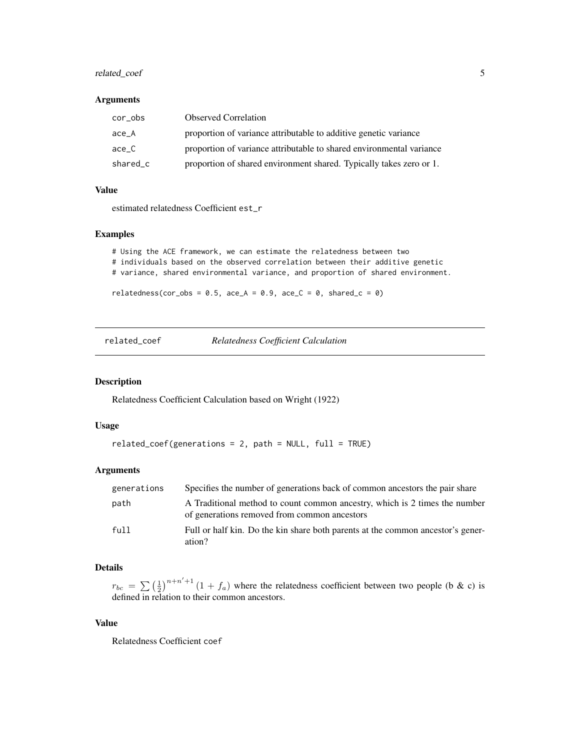# <span id="page-4-0"></span>related\_coef 5

#### Arguments

| cor_obs  | <b>Observed Correlation</b>                                          |
|----------|----------------------------------------------------------------------|
| ace A    | proportion of variance attributable to additive genetic variance     |
| ace C    | proportion of variance attributable to shared environmental variance |
| shared_c | proportion of shared environment shared. Typically takes zero or 1.  |

#### Value

estimated relatedness Coefficient est\_r

#### Examples

```
# Using the ACE framework, we can estimate the relatedness between two
# individuals based on the observed correlation between their additive genetic
# variance, shared environmental variance, and proportion of shared environment.
relatedness(cor_obs = 0.5, ace_A = 0.9, ace_C = 0, shared_c = 0)
```
related\_coef *Relatedness Coefficient Calculation*

#### Description

Relatedness Coefficient Calculation based on Wright (1922)

## Usage

```
related_coef(generations = 2, path = NULL, full = TRUE)
```
# Arguments

| generations | Specifies the number of generations back of common ancestors the pair share                                                |
|-------------|----------------------------------------------------------------------------------------------------------------------------|
| path        | A Traditional method to count common ancestry, which is 2 times the number<br>of generations removed from common ancestors |
| ful11       | Full or half kin. Do the kin share both parents at the common ancestor's gener-<br>ation?                                  |

# Details

 $r_{bc} = \sum_{n=1}^{\infty} \left(\frac{1}{2}\right)^{n+n'+1} (1+f_a)$  where the relatedness coefficient between two people (b & c) is defined in relation to their common ancestors.

#### Value

Relatedness Coefficient coef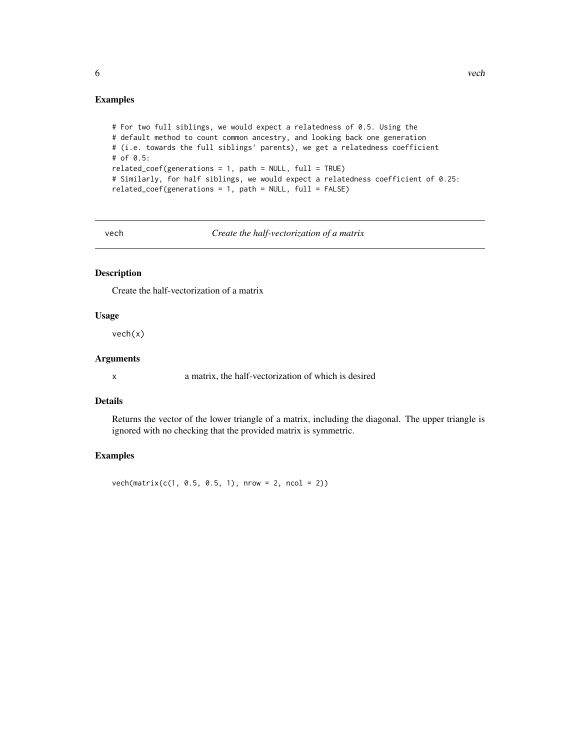```
# For two full siblings, we would expect a relatedness of 0.5. Using the
# default method to count common ancestry, and looking back one generation
# (i.e. towards the full siblings' parents), we get a relatedness coefficient
# of 0.5:
related_coef(generations = 1, path = NULL, full = TRUE)
# Similarly, for half siblings, we would expect a relatedness coefficient of 0.25:
related\_coeff( generations = 1, path = NULL, full = FALSE)
```
vech *Create the half-vectorization of a matrix*

# Description

Create the half-vectorization of a matrix

#### Usage

vech(x)

# Arguments

x a matrix, the half-vectorization of which is desired

# Details

Returns the vector of the lower triangle of a matrix, including the diagonal. The upper triangle is ignored with no checking that the provided matrix is symmetric.

#### Examples

 $vech(matrix(c(1, 0.5, 0.5, 1), nrow = 2, ncol = 2))$